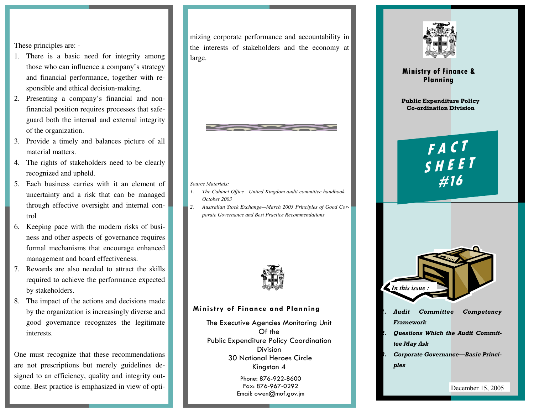These principles are: -

- 1. There is a basic need for integrity among those who can influence a company's strategy and financial performance, together with responsible and ethical decision-making.
- 2. Presenting a company's financial and nonfinancial position requires processes that safeguard both the internal and external integrity of the organization.
- 3. Provide a timely and balances picture of all material matters.
- 4. The rights of stakeholders need to be clearly recognized and upheld.
- 5. Each business carries with it an element of uncertainty and a risk that can be managed through effective oversight and internal control
- 6. Keeping pace with the modern risks of business and other aspects of governance requires formal mechanisms that encourage enhanced management and board effectiveness.
- $\mathbf{P}_{\text{max}}$  and  $\mathbf{P}_{\text{max}}$  and  $\mathbf{P}_{\text{max}}$ 7. Rewards are also needed to attract the skills required to achieve the performance expected by stakeholders.
- 8. The impact of the actions and decisions made by the organization is increasingly diverse and good governance recognizes the legitimate interests.

One must recognize that these recommendations are not prescriptions but merely guidelines designed to an efficiency, quality and integrity outcome. Best practice is emphasized in view of optimizing corporate performance and accountability in the interests of stakeholders and the economy at large.



#### *Source Materials:*

- *1. The Cabinet Office—United Kingdom audit committee handbook—October 2003*
- *2. Australian Stock Exchange—March 2003 Principles of Good Corporate Governance and Best Practice Recommendations*



#### Ministry of Finance and Planning

The Executive Agencies Monitoring Unit Of the Public Expenditure Policy Coordination Division 30 National Heroes Circle Kingston 4

> Phone: 876-922-8600 Fax: 876-967-0292 Email: owen@mof.gov.jm



#### Ministry of Finance & Planning

Public Expenditure Policy Co-ordination Division

> F <sup>A</sup> <sup>C</sup> <sup>T</sup> S <sup>H</sup> <sup>E</sup> <sup>E</sup> <sup>T</sup> #16



- 1. Audit Committee Competency Framework
- 2. Questions Which the Audit Committee May Ask
- 3. Corporate Governance—Basic Principles

December 15, 2005